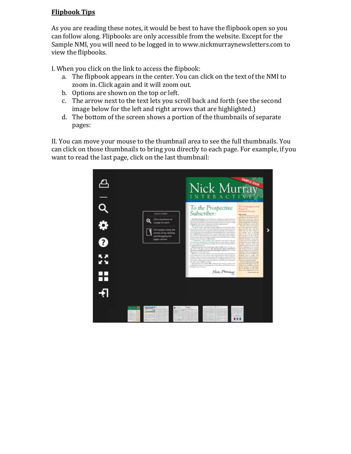## **Flipbook Tips**

As you are reading these notes, it would be best to have the flipbook open so you can follow along. Flipbooks are only accessible from the website. Except for the Sample NMI, you will need to be logged in to www.nickmurraynewsletters.com to view the flipbooks.

I. When you click on the link to access the flipbook:

- a. The flipbook appears in the center. You can click on the text of the NMI to zoom in. Click again and it will zoom out.
- b. Options are shown on the top or left.
- c. The arrow next to the text lets you scroll back and forth (see the second image below for the left and right arrows that are highlighted.)
- d. The bottom of the screen shows a portion of the thumbnails of separate pages:

II. You can move your mouse to the thumbnail area to see the full thumbnails. You can click on those thumbnails to bring you directly to each page. For example, if you want to read the last page, click on the last thumbnail:

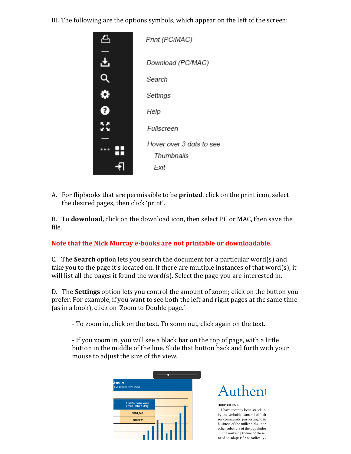III. The following are the options symbols, which appear on the left of the screen:



A. For flipbooks that are permissible to be **printed**, click on the print icon, select the desired pages, then click 'print'.

B. To **download,** click on the download icon, then select PC or MAC, then save the file.

## **Note that the Nick Murray e-books are not printable or downloadable.**

C. The **Search** option lets you search the document for a particular word(s) and take you to the page it's located on. If there are multiple instances of that word(s), it will list all the pages it found the word(s). Select the page you are interested in.

D. The **Settings** option lets you control the amount of zoom; click on the button you prefer. For example, if you want to see both the left and right pages at the same time (as in a book), click on 'Zoom to Double page.'

- To zoom in, click on the text. To zoom out, click again on the text.

- If you zoom in, you will see a black bar on the top of page, with a little button in the middle of the line. Slide that button back and forth with your mouse to adjust the size of the view.

| <b>Amount</b><br>ctive indexes, 1976-2013         |  |  |  |
|---------------------------------------------------|--|--|--|
|                                                   |  |  |  |
| <b>End Portfolio Value</b><br>(Price Return Only) |  |  |  |
| \$204,940                                         |  |  |  |
| \$10,952                                          |  |  |  |
|                                                   |  |  |  |
|                                                   |  |  |  |



FROM 11/14 ISSUE I have recently been struck, as by the veritable tsunami of "wh sor community, purporting to in business of the millennials, the  ${\bf v}$ other substrata of the population The unifying theme of these  $\mathfrak c$ need to adapt (if not radically a